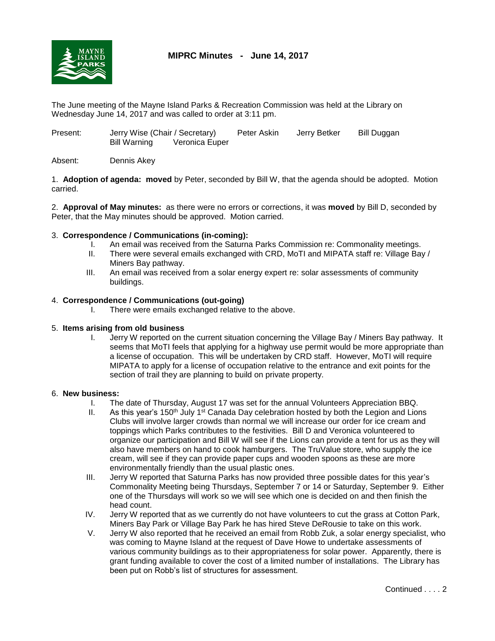

# **MIPRC Minutes - June 14, 2017**

The June meeting of the Mayne Island Parks & Recreation Commission was held at the Library on Wednesday June 14, 2017 and was called to order at 3:11 pm.

| Present: | Jerry Wise (Chair / Secretary) |                | Peter Askin | Jerry Betker | Bill Duggan |
|----------|--------------------------------|----------------|-------------|--------------|-------------|
|          | Bill Warning                   | Veronica Euper |             |              |             |

## Absent: Dennis Akey

1. **Adoption of agenda: moved** by Peter, seconded by Bill W, that the agenda should be adopted. Motion carried.

2. **Approval of May minutes:** as there were no errors or corrections, it was **moved** by Bill D, seconded by Peter, that the May minutes should be approved. Motion carried.

## 3. **Correspondence / Communications (in-coming):**

- I. An email was received from the Saturna Parks Commission re: Commonality meetings.
- II. There were several emails exchanged with CRD, MoTI and MIPATA staff re: Village Bay / Miners Bay pathway.
- III. An email was received from a solar energy expert re: solar assessments of community buildings.

## 4. **Correspondence / Communications (out-going)**

I. There were emails exchanged relative to the above.

### 5. **Items arising from old business**

I. Jerry W reported on the current situation concerning the Village Bay / Miners Bay pathway. It seems that MoTI feels that applying for a highway use permit would be more appropriate than a license of occupation. This will be undertaken by CRD staff. However, MoTI will require MIPATA to apply for a license of occupation relative to the entrance and exit points for the section of trail they are planning to build on private property.

### 6. **New business:**

- I. The date of Thursday, August 17 was set for the annual Volunteers Appreciation BBQ.
- II. As this year's 150<sup>th</sup> July 1<sup>st</sup> Canada Day celebration hosted by both the Legion and Lions Clubs will involve larger crowds than normal we will increase our order for ice cream and toppings which Parks contributes to the festivities. Bill D and Veronica volunteered to organize our participation and Bill W will see if the Lions can provide a tent for us as they will also have members on hand to cook hamburgers. The TruValue store, who supply the ice cream, will see if they can provide paper cups and wooden spoons as these are more environmentally friendly than the usual plastic ones.
- III. Jerry W reported that Saturna Parks has now provided three possible dates for this year's Commonality Meeting being Thursdays, September 7 or 14 or Saturday, September 9. Either one of the Thursdays will work so we will see which one is decided on and then finish the head count.
- IV. Jerry W reported that as we currently do not have volunteers to cut the grass at Cotton Park, Miners Bay Park or Village Bay Park he has hired Steve DeRousie to take on this work.
- V. Jerry W also reported that he received an email from Robb Zuk, a solar energy specialist, who was coming to Mayne Island at the request of Dave Howe to undertake assessments of various community buildings as to their appropriateness for solar power. Apparently, there is grant funding available to cover the cost of a limited number of installations. The Library has been put on Robb's list of structures for assessment.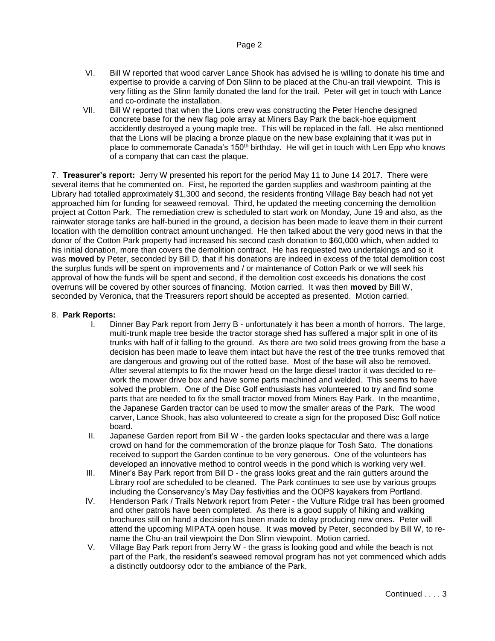- VI. Bill W reported that wood carver Lance Shook has advised he is willing to donate his time and expertise to provide a carving of Don Slinn to be placed at the Chu-an trail viewpoint. This is very fitting as the Slinn family donated the land for the trail. Peter will get in touch with Lance and co-ordinate the installation.
- VII. Bill W reported that when the Lions crew was constructing the Peter Henche designed concrete base for the new flag pole array at Miners Bay Park the back-hoe equipment accidently destroyed a young maple tree. This will be replaced in the fall. He also mentioned that the Lions will be placing a bronze plaque on the new base explaining that it was put in place to commemorate Canada's 150<sup>th</sup> birthday. He will get in touch with Len Epp who knows of a company that can cast the plaque.

7. **Treasurer's report:** Jerry W presented his report for the period May 11 to June 14 2017. There were several items that he commented on. First, he reported the garden supplies and washroom painting at the Library had totalled approximately \$1,300 and second, the residents fronting Village Bay beach had not yet approached him for funding for seaweed removal. Third, he updated the meeting concerning the demolition project at Cotton Park. The remediation crew is scheduled to start work on Monday, June 19 and also, as the rainwater storage tanks are half-buried in the ground, a decision has been made to leave them in their current location with the demolition contract amount unchanged. He then talked about the very good news in that the donor of the Cotton Park property had increased his second cash donation to \$60,000 which, when added to his initial donation, more than covers the demolition contract. He has requested two undertakings and so it was **moved** by Peter, seconded by Bill D, that if his donations are indeed in excess of the total demolition cost the surplus funds will be spent on improvements and / or maintenance of Cotton Park or we will seek his approval of how the funds will be spent and second, if the demolition cost exceeds his donations the cost overruns will be covered by other sources of financing. Motion carried. It was then **moved** by Bill W, seconded by Veronica, that the Treasurers report should be accepted as presented. Motion carried.

### 8. **Park Reports:**

- I. Dinner Bay Park report from Jerry B unfortunately it has been a month of horrors. The large, multi-trunk maple tree beside the tractor storage shed has suffered a major split in one of its trunks with half of it falling to the ground. As there are two solid trees growing from the base a decision has been made to leave them intact but have the rest of the tree trunks removed that are dangerous and growing out of the rotted base. Most of the base will also be removed. After several attempts to fix the mower head on the large diesel tractor it was decided to rework the mower drive box and have some parts machined and welded. This seems to have solved the problem. One of the Disc Golf enthusiasts has volunteered to try and find some parts that are needed to fix the small tractor moved from Miners Bay Park. In the meantime, the Japanese Garden tractor can be used to mow the smaller areas of the Park. The wood carver, Lance Shook, has also volunteered to create a sign for the proposed Disc Golf notice board.
- II. Japanese Garden report from Bill W the garden looks spectacular and there was a large crowd on hand for the commemoration of the bronze plaque for Tosh Sato. The donations received to support the Garden continue to be very generous. One of the volunteers has developed an innovative method to control weeds in the pond which is working very well.
- III. Miner's Bay Park report from Bill D the grass looks great and the rain gutters around the Library roof are scheduled to be cleaned. The Park continues to see use by various groups including the Conservancy's May Day festivities and the OOPS kayakers from Portland.
- IV. Henderson Park / Trails Network report from Peter the Vulture Ridge trail has been groomed and other patrols have been completed. As there is a good supply of hiking and walking brochures still on hand a decision has been made to delay producing new ones. Peter will attend the upcoming MIPATA open house. It was **moved** by Peter, seconded by Bill W, to rename the Chu-an trail viewpoint the Don Slinn viewpoint. Motion carried.
- V. Village Bay Park report from Jerry W the grass is looking good and while the beach is not part of the Park, the resident's seaweed removal program has not yet commenced which adds a distinctly outdoorsy odor to the ambiance of the Park.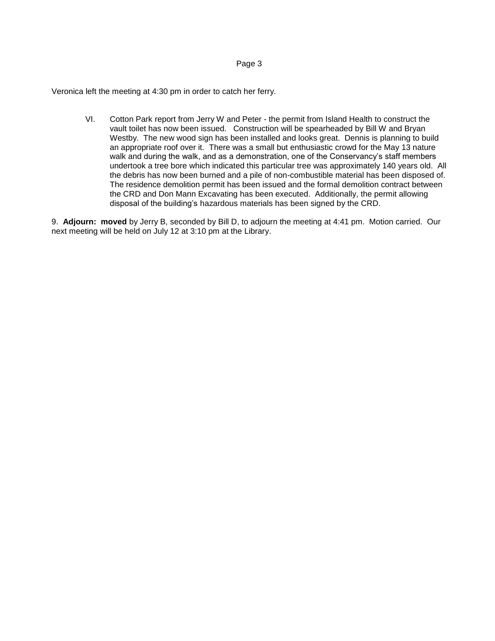#### Page 3

Veronica left the meeting at 4:30 pm in order to catch her ferry.

VI. Cotton Park report from Jerry W and Peter - the permit from Island Health to construct the vault toilet has now been issued. Construction will be spearheaded by Bill W and Bryan Westby. The new wood sign has been installed and looks great. Dennis is planning to build an appropriate roof over it. There was a small but enthusiastic crowd for the May 13 nature walk and during the walk, and as a demonstration, one of the Conservancy's staff members undertook a tree bore which indicated this particular tree was approximately 140 years old. All the debris has now been burned and a pile of non-combustible material has been disposed of. The residence demolition permit has been issued and the formal demolition contract between the CRD and Don Mann Excavating has been executed. Additionally, the permit allowing disposal of the building's hazardous materials has been signed by the CRD.

9. **Adjourn: moved** by Jerry B, seconded by Bill D, to adjourn the meeting at 4:41 pm. Motion carried. Our next meeting will be held on July 12 at 3:10 pm at the Library.